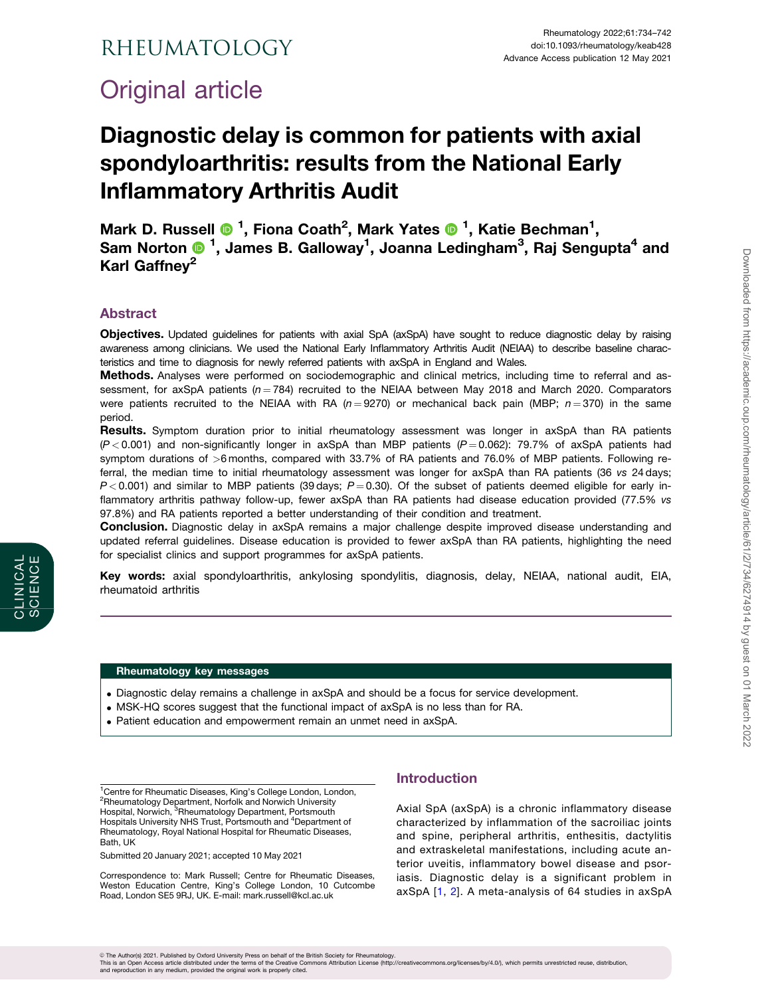## <span id="page-0-0"></span>Rheumatology

# Original article

# Diagnostic delay is common for patients with axial spondyloarthritis: results from the National Early Inflammatory Arthritis Audit

Mark D. Russell <sup>® 1</sup>, Fiona Coath<sup>2</sup>, Mark Yates <sup>® 1</sup>, Katie Bechman<sup>1</sup>, Sam Norton  $\mathbf{0}$  <sup>1</sup>, James B. Galloway<sup>1</sup>, Joanna Ledingham<sup>3</sup>, Raj Sengupta<sup>4</sup> and Karl Gaffnev<sup>2</sup>

## Abstract

Objectives. Updated guidelines for patients with axial SpA (axSpA) have sought to reduce diagnostic delay by raising awareness among clinicians. We used the National Early Inflammatory Arthritis Audit (NEIAA) to describe baseline characteristics and time to diagnosis for newly referred patients with axSpA in England and Wales.

Methods. Analyses were performed on sociodemographic and clinical metrics, including time to referral and assessment, for axSpA patients ( $n = 784$ ) recruited to the NEIAA between May 2018 and March 2020. Comparators were patients recruited to the NEIAA with RA ( $n = 9270$ ) or mechanical back pain (MBP;  $n = 370$ ) in the same period.

Results. Symptom duration prior to initial rheumatology assessment was longer in axSpA than RA patients  $(P < 0.001)$  and non-significantly longer in axSpA than MBP patients  $(P = 0.062)$ : 79.7% of axSpA patients had symptom durations of >6 months, compared with 33.7% of RA patients and 76.0% of MBP patients. Following referral, the median time to initial rheumatology assessment was longer for axSpA than RA patients (36 vs 24 days;  $P < 0.001$ ) and similar to MBP patients (39 days;  $P = 0.30$ ). Of the subset of patients deemed eligible for early inflammatory arthritis pathway follow-up, fewer axSpA than RA patients had disease education provided (77.5% vs 97.8%) and RA patients reported a better understanding of their condition and treatment.

**Conclusion.** Diagnostic delay in axSpA remains a major challenge despite improved disease understanding and updated referral guidelines. Disease education is provided to fewer axSpA than RA patients, highlighting the need for specialist clinics and support programmes for axSpA patients.

Key words: axial spondyloarthritis, ankylosing spondylitis, diagnosis, delay, NEIAA, national audit, EIA, rheumatoid arthritis

#### Rheumatology key messages

- . Diagnostic delay remains a challenge in axSpA and should be a focus for service development.
- . MSK-HQ scores suggest that the functional impact of axSpA is no less than for RA.
- . Patient education and empowerment remain an unmet need in axSpA.

<sup>1</sup> Centre for Rheumatic Diseases, King's College London, London, <sup>2</sup>Rheumatology Department, Norfolk and Norwich University Hospital, Norwich, <sup>3</sup>Rheumatology Department, Portsmouth Hospitals University NHS Trust, Portsmouth and <sup>4</sup>Department of Rheumatology, Royal National Hospital for Rheumatic Diseases, Bath, UK

Submitted 20 January 2021; accepted 10 May 2021

Correspondence to: Mark Russell; Centre for Rheumatic Diseases, Weston Education Centre, King's College London, 10 Cutcombe Road, London SE5 9RJ, UK. E-mail: mark.russell@kcl.ac.uk

## Introduction

Axial SpA (axSpA) is a chronic inflammatory disease characterized by inflammation of the sacroiliac joints and spine, peripheral arthritis, enthesitis, dactylitis and extraskeletal manifestations, including acute anterior uveitis, inflammatory bowel disease and psoriasis. Diagnostic delay is a significant problem in axSpA [[1,](#page-7-0) [2\]](#page-7-0). A meta-analysis of 64 studies in axSpA

© The Author(s) 2021. Published by Oxford University Press on behalf of the British Society for Rheumatology.<br>This is an Open Access article distributed under the therms of the Creative Commons Attribution License (http:/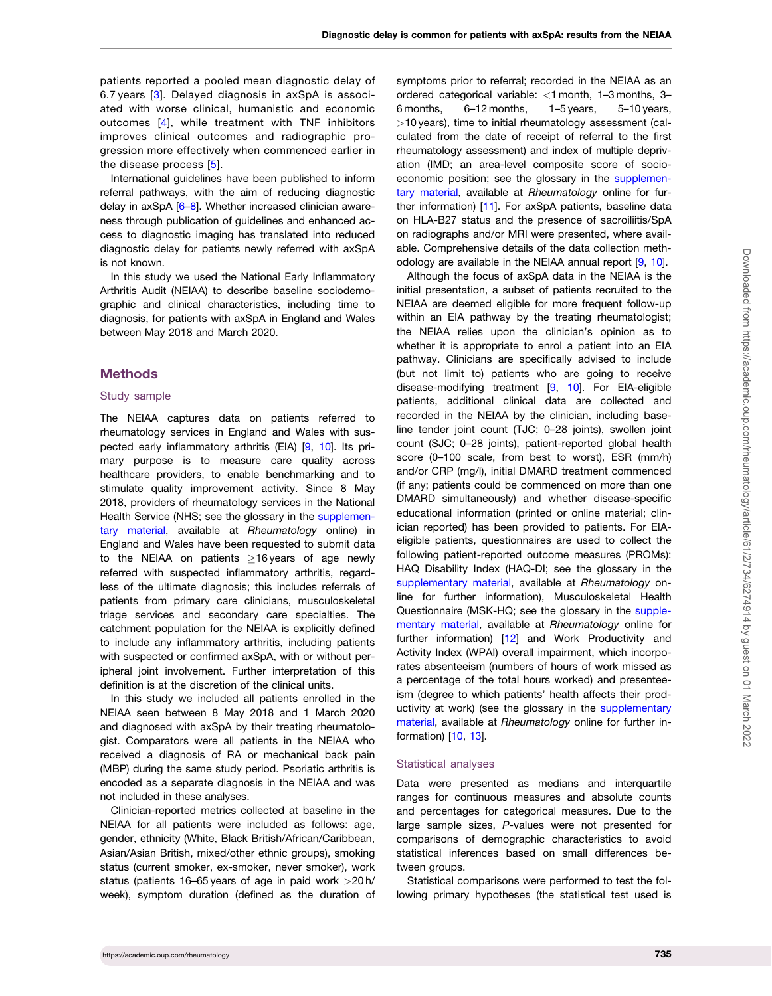<span id="page-1-0"></span>patients reported a pooled mean diagnostic delay of 6.7 years [[3\]](#page-7-0). Delayed diagnosis in axSpA is associated with worse clinical, humanistic and economic outcomes [[4\]](#page-7-0), while treatment with TNF inhibitors improves clinical outcomes and radiographic progression more effectively when commenced earlier in the disease process [[5](#page-8-0)].

International guidelines have been published to inform referral pathways, with the aim of reducing diagnostic delay in axSpA [\[6–8\]](#page-8-0). Whether increased clinician awareness through publication of guidelines and enhanced access to diagnostic imaging has translated into reduced diagnostic delay for patients newly referred with axSpA is not known.

In this study we used the National Early Inflammatory Arthritis Audit (NEIAA) to describe baseline sociodemographic and clinical characteristics, including time to diagnosis, for patients with axSpA in England and Wales between May 2018 and March 2020.

#### Methods

#### Study sample

The NEIAA captures data on patients referred to rheumatology services in England and Wales with suspected early inflammatory arthritis (EIA) [[9,](#page-8-0) [10\]](#page-8-0). Its primary purpose is to measure care quality across healthcare providers, to enable benchmarking and to stimulate quality improvement activity. Since 8 May 2018, providers of rheumatology services in the National Health Service (NHS; see the glossary in the [supplemen](https://academic.oup.com/rheumatology/article-lookup/doi/10.1093/rheumatology/keab428#supplementary-data)[tary material](https://academic.oup.com/rheumatology/article-lookup/doi/10.1093/rheumatology/keab428#supplementary-data), available at Rheumatology online) in England and Wales have been requested to submit data to the NEIAA on patients  $\geq$ 16 years of age newly referred with suspected inflammatory arthritis, regardless of the ultimate diagnosis; this includes referrals of patients from primary care clinicians, musculoskeletal triage services and secondary care specialties. The catchment population for the NEIAA is explicitly defined to include any inflammatory arthritis, including patients with suspected or confirmed axSpA, with or without peripheral joint involvement. Further interpretation of this definition is at the discretion of the clinical units.

In this study we included all patients enrolled in the NEIAA seen between 8 May 2018 and 1 March 2020 and diagnosed with axSpA by their treating rheumatologist. Comparators were all patients in the NEIAA who received a diagnosis of RA or mechanical back pain (MBP) during the same study period. Psoriatic arthritis is encoded as a separate diagnosis in the NEIAA and was not included in these analyses.

Clinician-reported metrics collected at baseline in the NEIAA for all patients were included as follows: age, gender, ethnicity (White, Black British/African/Caribbean, Asian/Asian British, mixed/other ethnic groups), smoking status (current smoker, ex-smoker, never smoker), work status (patients 16–65 years of age in paid work >20 h/ week), symptom duration (defined as the duration of

symptoms prior to referral; recorded in the NEIAA as an ordered categorical variable: <1 month, 1–3 months, 3– 6 months, 6–12 months, 1–5 years, 5–10 years, >10 years), time to initial rheumatology assessment (calculated from the date of receipt of referral to the first rheumatology assessment) and index of multiple deprivation (IMD; an area-level composite score of socioeconomic position; see the glossary in the [supplemen](https://academic.oup.com/rheumatology/article-lookup/doi/10.1093/rheumatology/keab428#supplementary-data)[tary material,](https://academic.oup.com/rheumatology/article-lookup/doi/10.1093/rheumatology/keab428#supplementary-data) available at Rheumatology online for further information) [\[11\]](#page-8-0). For axSpA patients, baseline data on HLA-B27 status and the presence of sacroiliitis/SpA on radiographs and/or MRI were presented, where available. Comprehensive details of the data collection methodology are available in the NEIAA annual report [\[9](#page-8-0), [10\]](#page-8-0).

Although the focus of axSpA data in the NEIAA is the initial presentation, a subset of patients recruited to the NEIAA are deemed eligible for more frequent follow-up within an EIA pathway by the treating rheumatologist; the NEIAA relies upon the clinician's opinion as to whether it is appropriate to enrol a patient into an EIA pathway. Clinicians are specifically advised to include (but not limit to) patients who are going to receive disease-modifying treatment [\[9](#page-8-0), [10\]](#page-8-0). For EIA-eligible patients, additional clinical data are collected and recorded in the NEIAA by the clinician, including baseline tender joint count (TJC; 0–28 joints), swollen joint count (SJC; 0–28 joints), patient-reported global health score (0–100 scale, from best to worst), ESR (mm/h) and/or CRP (mg/l), initial DMARD treatment commenced (if any; patients could be commenced on more than one DMARD simultaneously) and whether disease-specific educational information (printed or online material; clinician reported) has been provided to patients. For EIAeligible patients, questionnaires are used to collect the following patient-reported outcome measures (PROMs): HAQ Disability Index (HAQ-DI; see the glossary in the [supplementary material,](https://academic.oup.com/rheumatology/article-lookup/doi/10.1093/rheumatology/keab428#supplementary-data) available at Rheumatology online for further information), Musculoskeletal Health Questionnaire (MSK-HQ; see the glossary in the [supple](https://academic.oup.com/rheumatology/article-lookup/doi/10.1093/rheumatology/keab428#supplementary-data)[mentary material](https://academic.oup.com/rheumatology/article-lookup/doi/10.1093/rheumatology/keab428#supplementary-data), available at Rheumatology online for further information) [\[12\]](#page-8-0) and Work Productivity and Activity Index (WPAI) overall impairment, which incorporates absenteeism (numbers of hours of work missed as a percentage of the total hours worked) and presenteeism (degree to which patients' health affects their productivity at work) (see the glossary in the [supplementary](https://academic.oup.com/rheumatology/article-lookup/doi/10.1093/rheumatology/keab428#supplementary-data) [material,](https://academic.oup.com/rheumatology/article-lookup/doi/10.1093/rheumatology/keab428#supplementary-data) available at Rheumatology online for further information) [\[10](#page-8-0), [13\]](#page-8-0).

#### Statistical analyses

Data were presented as medians and interquartile ranges for continuous measures and absolute counts and percentages for categorical measures. Due to the large sample sizes, P-values were not presented for comparisons of demographic characteristics to avoid statistical inferences based on small differences between groups.

Statistical comparisons were performed to test the following primary hypotheses (the statistical test used is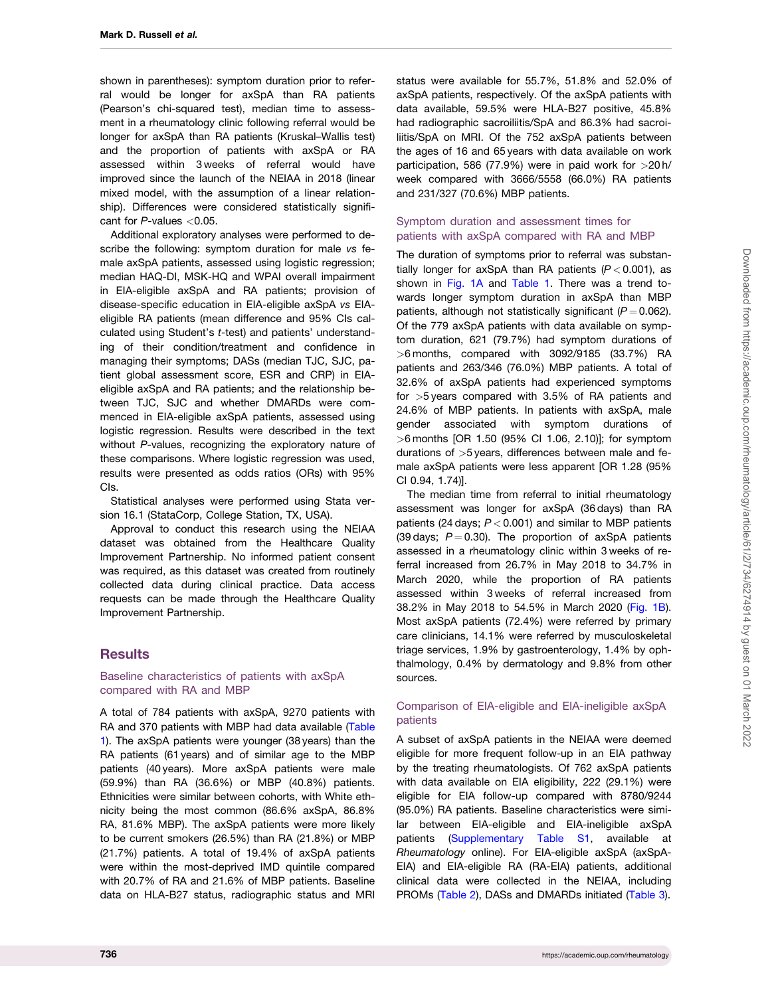shown in parentheses): symptom duration prior to referral would be longer for axSpA than RA patients (Pearson's chi-squared test), median time to assessment in a rheumatology clinic following referral would be longer for axSpA than RA patients (Kruskal–Wallis test) and the proportion of patients with axSpA or RA assessed within 3 weeks of referral would have improved since the launch of the NEIAA in 2018 (linear mixed model, with the assumption of a linear relationship). Differences were considered statistically significant for P-values <0.05.

Additional exploratory analyses were performed to describe the following: symptom duration for male vs female axSpA patients, assessed using logistic regression; median HAQ-DI, MSK-HQ and WPAI overall impairment in EIA-eligible axSpA and RA patients; provision of disease-specific education in EIA-eligible axSpA vs EIAeligible RA patients (mean difference and 95% CIs calculated using Student's t-test) and patients' understanding of their condition/treatment and confidence in managing their symptoms; DASs (median TJC, SJC, patient global assessment score, ESR and CRP) in EIAeligible axSpA and RA patients; and the relationship between TJC, SJC and whether DMARDs were commenced in EIA-eligible axSpA patients, assessed using logistic regression. Results were described in the text without P-values, recognizing the exploratory nature of these comparisons. Where logistic regression was used, results were presented as odds ratios (ORs) with 95% CIs.

Statistical analyses were performed using Stata version 16.1 (StataCorp, College Station, TX, USA).

Approval to conduct this research using the NEIAA dataset was obtained from the Healthcare Quality Improvement Partnership. No informed patient consent was required, as this dataset was created from routinely collected data during clinical practice. Data access requests can be made through the Healthcare Quality Improvement Partnership.

### **Results**

#### Baseline characteristics of patients with axSpA compared with RA and MBP

A total of 784 patients with axSpA, 9270 patients with RA and 370 patients with MBP had data available ([Table](#page-3-0) [1](#page-3-0)). The axSpA patients were younger (38 years) than the RA patients (61 years) and of similar age to the MBP patients (40 years). More axSpA patients were male (59.9%) than RA (36.6%) or MBP (40.8%) patients. Ethnicities were similar between cohorts, with White ethnicity being the most common (86.6% axSpA, 86.8% RA, 81.6% MBP). The axSpA patients were more likely to be current smokers (26.5%) than RA (21.8%) or MBP (21.7%) patients. A total of 19.4% of axSpA patients were within the most-deprived IMD quintile compared with 20.7% of RA and 21.6% of MBP patients. Baseline data on HLA-B27 status, radiographic status and MRI

status were available for 55.7%, 51.8% and 52.0% of axSpA patients, respectively. Of the axSpA patients with data available, 59.5% were HLA-B27 positive, 45.8% had radiographic sacroiliitis/SpA and 86.3% had sacroiliitis/SpA on MRI. Of the 752 axSpA patients between the ages of 16 and 65 years with data available on work participation, 586 (77.9%) were in paid work for >20 h/ week compared with 3666/5558 (66.0%) RA patients and 231/327 (70.6%) MBP patients.

#### Symptom duration and assessment times for patients with axSpA compared with RA and MBP

The duration of symptoms prior to referral was substantially longer for axSpA than RA patients  $(P < 0.001)$ , as shown in [Fig. 1A](#page-4-0) and [Table 1.](#page-3-0) There was a trend towards longer symptom duration in axSpA than MBP patients, although not statistically significant  $(P = 0.062)$ . Of the 779 axSpA patients with data available on symptom duration, 621 (79.7%) had symptom durations of  $>6$  months, compared with 3092/9185 (33.7%) RA patients and 263/346 (76.0%) MBP patients. A total of 32.6% of axSpA patients had experienced symptoms for >5 years compared with 3.5% of RA patients and 24.6% of MBP patients. In patients with axSpA, male gender associated with symptom durations of >6 months [OR 1.50 (95% CI 1.06, 2.10)]; for symptom durations of >5 years, differences between male and female axSpA patients were less apparent [OR 1.28 (95% CI 0.94, 1.74)].

The median time from referral to initial rheumatology assessment was longer for axSpA (36 days) than RA patients (24 days;  $P < 0.001$ ) and similar to MBP patients (39 days;  $P = 0.30$ ). The proportion of axSpA patients assessed in a rheumatology clinic within 3 weeks of referral increased from 26.7% in May 2018 to 34.7% in March 2020, while the proportion of RA patients assessed within 3 weeks of referral increased from 38.2% in May 2018 to 54.5% in March 2020 ([Fig. 1B](#page-4-0)). Most axSpA patients (72.4%) were referred by primary care clinicians, 14.1% were referred by musculoskeletal triage services, 1.9% by gastroenterology, 1.4% by ophthalmology, 0.4% by dermatology and 9.8% from other sources.

#### Comparison of EIA-eligible and EIA-ineligible axSpA patients

A subset of axSpA patients in the NEIAA were deemed eligible for more frequent follow-up in an EIA pathway by the treating rheumatologists. Of 762 axSpA patients with data available on EIA eligibility, 222 (29.1%) were eligible for EIA follow-up compared with 8780/9244 (95.0%) RA patients. Baseline characteristics were similar between EIA-eligible and EIA-ineligible axSpA patients [\(Supplementary Table S1](https://academic.oup.com/rheumatology/article-lookup/doi/10.1093/rheumatology/keab428#supplementary-data), available at Rheumatology online). For EIA-eligible axSpA (axSpA-EIA) and EIA-eligible RA (RA-EIA) patients, additional clinical data were collected in the NEIAA, including PROMs [\(Table 2\)](#page-5-0), DASs and DMARDs initiated [\(Table 3\)](#page-6-0).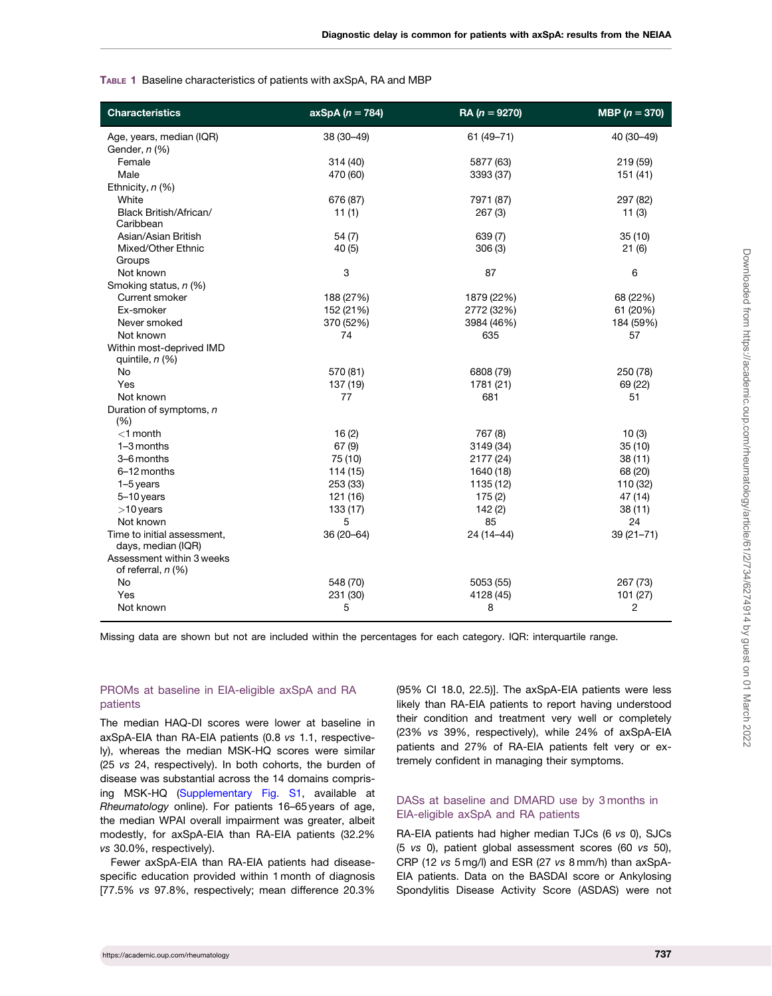#### <span id="page-3-0"></span>TABLE 1 Baseline characteristics of patients with axSpA, RA and MBP

| <b>Characteristics</b>                            | $axSpA (n = 784)$ | RA ( $n = 9270$ ) | MBP $(n = 370)$ |
|---------------------------------------------------|-------------------|-------------------|-----------------|
| Age, years, median (IQR)                          | 38 (30-49)        | 61 (49-71)        | 40 (30-49)      |
| Gender, n (%)                                     |                   |                   |                 |
| Female                                            | 314 (40)          | 5877 (63)         | 219 (59)        |
| Male                                              | 470 (60)          | 3393 (37)         | 151 (41)        |
| Ethnicity, $n$ (%)                                |                   |                   |                 |
| White                                             | 676 (87)          | 7971 (87)         | 297 (82)        |
| Black British/African/<br>Caribbean               | 11(1)             | 267(3)            | 11(3)           |
| Asian/Asian British                               | 54(7)             | 639 (7)           | 35(10)          |
| Mixed/Other Ethnic                                | 40(5)             | 306(3)            | 21(6)           |
| Groups                                            |                   |                   |                 |
| Not known                                         | 3                 | 87                | 6               |
| Smoking status, n (%)                             |                   |                   |                 |
| Current smoker                                    | 188 (27%)         | 1879 (22%)        | 68 (22%)        |
| Ex-smoker                                         | 152 (21%)         | 2772 (32%)        | 61 (20%)        |
| Never smoked                                      | 370 (52%)         | 3984 (46%)        | 184 (59%)       |
| Not known                                         | 74                | 635               | 57              |
| Within most-deprived IMD<br>quintile, n (%)       |                   |                   |                 |
| <b>No</b>                                         | 570 (81)          | 6808 (79)         | 250 (78)        |
| Yes                                               | 137 (19)          | 1781 (21)         | 69 (22)         |
| Not known                                         | 77                | 681               | 51              |
| Duration of symptoms, n<br>(%)                    |                   |                   |                 |
| $<$ 1 month                                       | 16(2)             | 767 (8)           | 10(3)           |
| 1-3 months                                        | 67(9)             | 3149 (34)         | 35(10)          |
| 3-6 months                                        | 75 (10)           | 2177 (24)         | 38(11)          |
| 6-12 months                                       | 114(15)           | 1640 (18)         | 68 (20)         |
| $1-5$ years                                       | 253 (33)          | 1135 (12)         | 110 (32)        |
| $5-10$ years                                      | 121 (16)          | 175(2)            | 47 (14)         |
| $>10$ years                                       | 133 (17)          | 142(2)            | 38(11)          |
| Not known                                         | 5                 | 85                | 24              |
| Time to initial assessment,<br>days, median (IQR) | 36 (20-64)        | 24 (14-44)        | $39(21 - 71)$   |
| Assessment within 3 weeks<br>of referral, $n$ (%) |                   |                   |                 |
| No                                                | 548 (70)          | 5053 (55)         | 267 (73)        |
| Yes                                               | 231 (30)          | 4128 (45)         | 101 (27)        |
| Not known                                         | 5                 | 8                 | $\overline{c}$  |

Missing data are shown but not are included within the percentages for each category. IQR: interquartile range.

#### PROMs at baseline in EIA-eligible axSpA and RA patients

The median HAQ-DI scores were lower at baseline in axSpA-EIA than RA-EIA patients (0.8 vs 1.1, respectively), whereas the median MSK-HQ scores were similar (25 vs 24, respectively). In both cohorts, the burden of disease was substantial across the 14 domains comprising MSK-HQ ([Supplementary Fig. S1,](https://academic.oup.com/rheumatology/article-lookup/doi/10.1093/rheumatology/keab428#supplementary-data) available at Rheumatology online). For patients 16–65 years of age, the median WPAI overall impairment was greater, albeit modestly, for axSpA-EIA than RA-EIA patients (32.2% vs 30.0%, respectively).

Fewer axSpA-EIA than RA-EIA patients had diseasespecific education provided within 1 month of diagnosis [77.5% vs 97.8%, respectively; mean difference 20.3% (95% CI 18.0, 22.5)]. The axSpA-EIA patients were less likely than RA-EIA patients to report having understood their condition and treatment very well or completely (23% vs 39%, respectively), while 24% of axSpA-EIA patients and 27% of RA-EIA patients felt very or extremely confident in managing their symptoms.

### DASs at baseline and DMARD use by 3 months in EIA-eligible axSpA and RA patients

RA-EIA patients had higher median TJCs (6 vs 0), SJCs (5 vs 0), patient global assessment scores (60 vs 50), CRP (12 vs 5 mg/l) and ESR (27 vs 8 mm/h) than axSpA-EIA patients. Data on the BASDAI score or Ankylosing Spondylitis Disease Activity Score (ASDAS) were not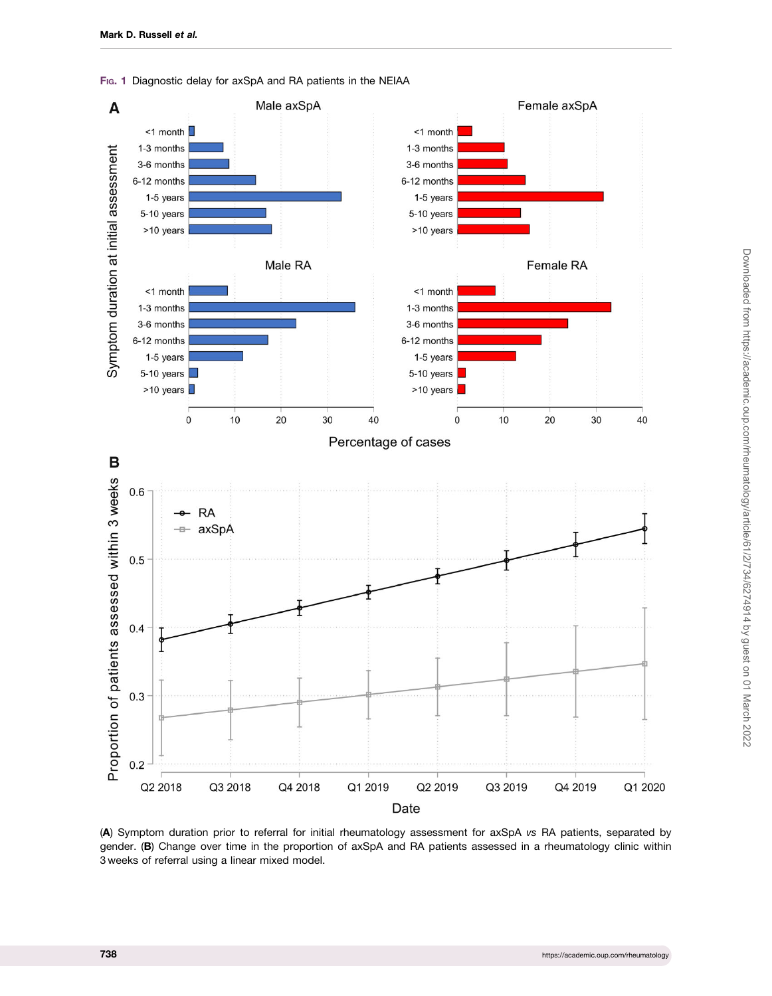

<span id="page-4-0"></span>Fig. 1 Diagnostic delay for axSpA and RA patients in the NEIAA

(A) Symptom duration prior to referral for initial rheumatology assessment for axSpA vs RA patients, separated by gender. (B) Change over time in the proportion of axSpA and RA patients assessed in a rheumatology clinic within 3 weeks of referral using a linear mixed model.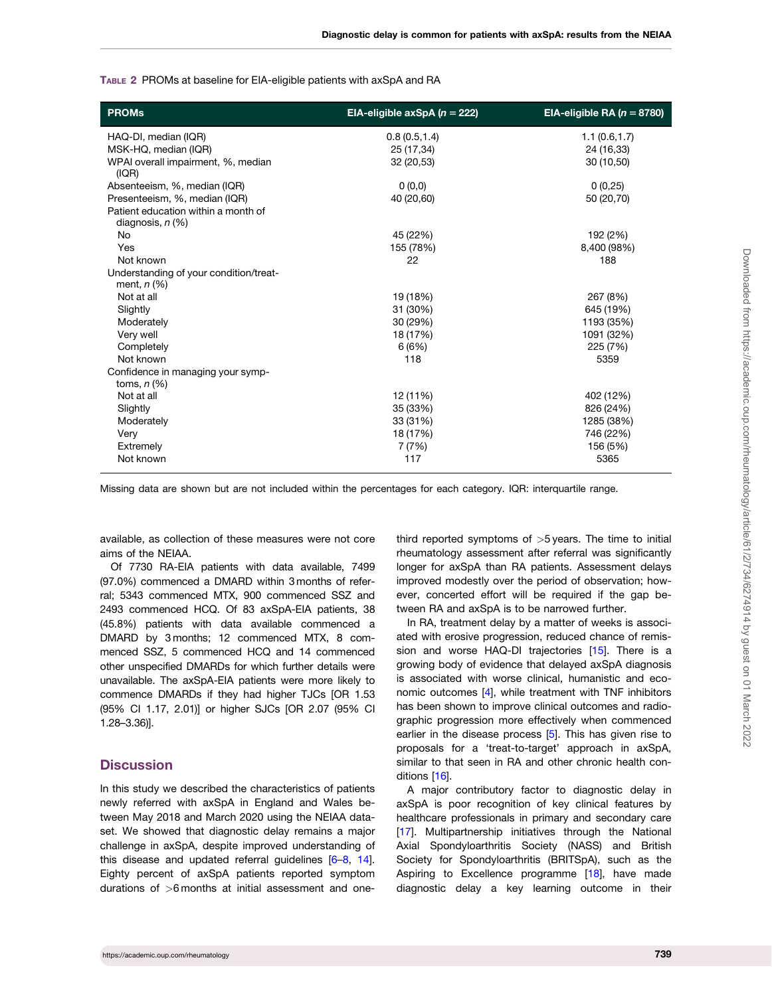<span id="page-5-0"></span>

|  | TABLE 2 PROMs at baseline for EIA-eligible patients with axSpA and RA |  |  |
|--|-----------------------------------------------------------------------|--|--|
|  |                                                                       |  |  |

| <b>PROMs</b>                                                 | EIA-eligible $axSpA(n = 222)$ | EIA-eligible RA ( $n = 8780$ ) |
|--------------------------------------------------------------|-------------------------------|--------------------------------|
| HAQ-DI, median (IQR)                                         | 0.8(0.5, 1.4)                 | 1.1(0.6, 1.7)                  |
| MSK-HQ, median (IQR)                                         | 25 (17,34)                    | 24 (16,33)                     |
| WPAI overall impairment, %, median<br>(IQR)                  | 32 (20,53)                    | 30(10,50)                      |
| Absenteeism, %, median (IQR)                                 | 0(0,0)                        | 0(0,25)                        |
| Presenteeism, %, median (IQR)                                | 40 (20,60)                    | 50 (20,70)                     |
| Patient education within a month of<br>diagnosis, $n$ $(\%)$ |                               |                                |
| No                                                           | 45 (22%)                      | 192 (2%)                       |
| Yes                                                          | 155 (78%)                     | 8,400 (98%)                    |
| Not known                                                    | 22                            | 188                            |
| Understanding of your condition/treat-<br>ment, $n$ (%)      |                               |                                |
| Not at all                                                   | 19 (18%)                      | 267 (8%)                       |
| Slightly                                                     | 31 (30%)                      | 645 (19%)                      |
| Moderately                                                   | 30 (29%)                      | 1193 (35%)                     |
| Very well                                                    | 18 (17%)                      | 1091 (32%)                     |
| Completely                                                   | 6(6%)                         | 225 (7%)                       |
| Not known                                                    | 118                           | 5359                           |
| Confidence in managing your symp-<br>toms, $n$ (%)           |                               |                                |
| Not at all                                                   | 12 (11%)                      | 402 (12%)                      |
| Slightly                                                     | 35 (33%)                      | 826 (24%)                      |
| Moderately                                                   | 33 (31%)                      | 1285 (38%)                     |
| Very                                                         | 18 (17%)                      | 746 (22%)                      |
| Extremely                                                    | 7(7%)                         | 156 (5%)                       |
| Not known                                                    | 117                           | 5365                           |

Missing data are shown but are not included within the percentages for each category. IQR: interquartile range.

available, as collection of these measures were not core aims of the NEIAA.

Of 7730 RA-EIA patients with data available, 7499 (97.0%) commenced a DMARD within 3 months of referral; 5343 commenced MTX, 900 commenced SSZ and 2493 commenced HCQ. Of 83 axSpA-EIA patients, 38 (45.8%) patients with data available commenced a DMARD by 3 months; 12 commenced MTX, 8 commenced SSZ, 5 commenced HCQ and 14 commenced other unspecified DMARDs for which further details were unavailable. The axSpA-EIA patients were more likely to commence DMARDs if they had higher TJCs [OR 1.53 (95% CI 1.17, 2.01)] or higher SJCs [OR 2.07 (95% CI 1.28–3.36)].

#### **Discussion**

In this study we described the characteristics of patients newly referred with axSpA in England and Wales between May 2018 and March 2020 using the NEIAA dataset. We showed that diagnostic delay remains a major challenge in axSpA, despite improved understanding of this disease and updated referral guidelines [\[6–8,](#page-8-0) [14](#page-8-0)]. Eighty percent of axSpA patients reported symptom durations of >6 months at initial assessment and onethird reported symptoms of  $>5$  years. The time to initial rheumatology assessment after referral was significantly longer for axSpA than RA patients. Assessment delays improved modestly over the period of observation; however, concerted effort will be required if the gap between RA and axSpA is to be narrowed further.

In RA, treatment delay by a matter of weeks is associated with erosive progression, reduced chance of remis-sion and worse HAQ-DI trajectories [[15](#page-8-0)]. There is a growing body of evidence that delayed axSpA diagnosis is associated with worse clinical, humanistic and economic outcomes [[4](#page-7-0)], while treatment with TNF inhibitors has been shown to improve clinical outcomes and radiographic progression more effectively when commenced earlier in the disease process [[5](#page-8-0)]. This has given rise to proposals for a 'treat-to-target' approach in axSpA, similar to that seen in RA and other chronic health conditions [[16](#page-8-0)].

A major contributory factor to diagnostic delay in axSpA is poor recognition of key clinical features by healthcare professionals in primary and secondary care [[17](#page-8-0)]. Multipartnership initiatives through the National Axial Spondyloarthritis Society (NASS) and British Society for Spondyloarthritis (BRITSpA), such as the Aspiring to Excellence programme [\[18\]](#page-8-0), have made diagnostic delay a key learning outcome in their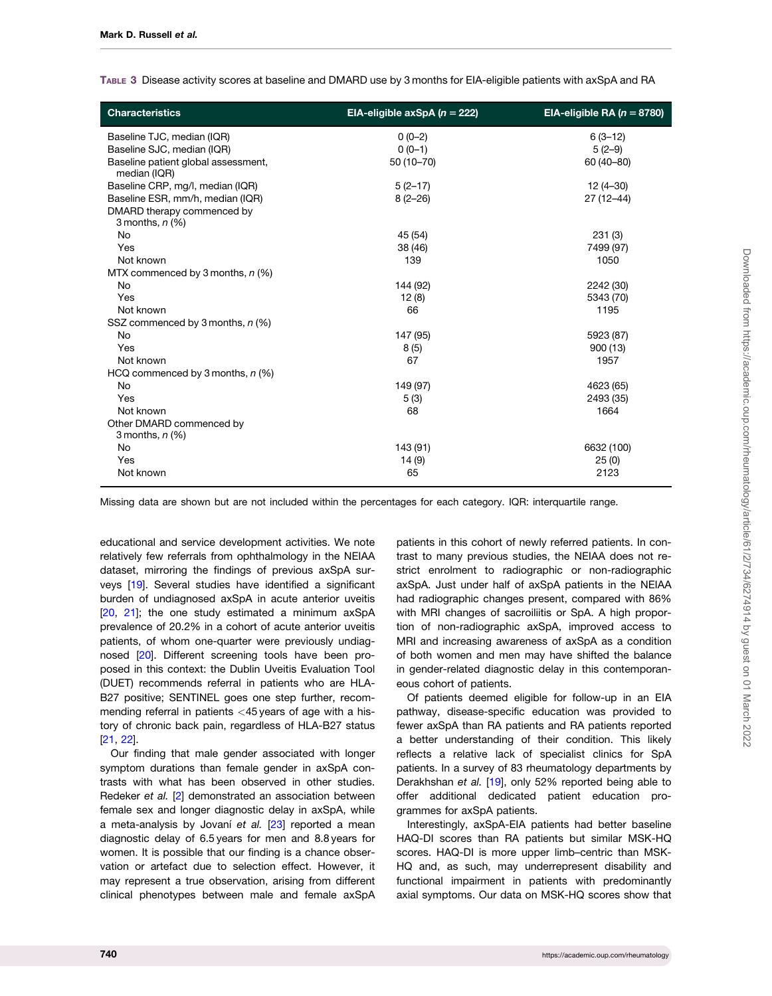<span id="page-6-0"></span>TABLE 3 Disease activity scores at baseline and DMARD use by 3 months for EIA-eligible patients with axSpA and RA

| <b>Characteristics</b>                              | EIA-eligible axSpA ( $n = 222$ ) | EIA-eligible RA ( $n = 8780$ ) |
|-----------------------------------------------------|----------------------------------|--------------------------------|
| Baseline TJC, median (IQR)                          | $0(0-2)$                         | $6(3-12)$                      |
| Baseline SJC, median (IQR)                          | $0(0-1)$                         | $5(2-9)$                       |
| Baseline patient global assessment,<br>median (IQR) | 50 (10-70)                       | 60 (40-80)                     |
| Baseline CRP, mg/l, median (IQR)                    | $5(2-17)$                        | 12 (4-30)                      |
| Baseline ESR, mm/h, median (IQR)                    | $8(2 - 26)$                      | $27(12 - 44)$                  |
| DMARD therapy commenced by<br>3 months, $n$ $(\%)$  |                                  |                                |
| <b>No</b>                                           | 45 (54)                          | 231(3)                         |
| Yes                                                 | 38 (46)                          | 7499 (97)                      |
| Not known                                           | 139                              | 1050                           |
| MTX commenced by 3 months, $n$ (%)                  |                                  |                                |
| No                                                  | 144 (92)                         | 2242 (30)                      |
| Yes                                                 | 12(8)                            | 5343 (70)                      |
| Not known                                           | 66                               | 1195                           |
| SSZ commenced by 3 months, n (%)                    |                                  |                                |
| No                                                  | 147 (95)                         | 5923 (87)                      |
| Yes                                                 | 8(5)                             | 900(13)                        |
| Not known                                           | 67                               | 1957                           |
| HCQ commenced by 3 months, $n$ (%)                  |                                  |                                |
| No                                                  | 149 (97)                         | 4623 (65)                      |
| Yes                                                 | 5(3)                             | 2493 (35)                      |
| Not known                                           | 68                               | 1664                           |
| Other DMARD commenced by<br>3 months, $n$ $(\%)$    |                                  |                                |
| No                                                  | 143 (91)                         | 6632 (100)                     |
| Yes                                                 | 14(9)                            | 25(0)                          |
| Not known                                           | 65                               | 2123                           |

Missing data are shown but are not included within the percentages for each category. IQR: interquartile range.

educational and service development activities. We note relatively few referrals from ophthalmology in the NEIAA dataset, mirroring the findings of previous axSpA surveys [[19](#page-8-0)]. Several studies have identified a significant burden of undiagnosed axSpA in acute anterior uveitis [[20,](#page-8-0) [21\]](#page-8-0); the one study estimated a minimum axSpA prevalence of 20.2% in a cohort of acute anterior uveitis patients, of whom one-quarter were previously undiagnosed [\[20\]](#page-8-0). Different screening tools have been proposed in this context: the Dublin Uveitis Evaluation Tool (DUET) recommends referral in patients who are HLA-B27 positive; SENTINEL goes one step further, recommending referral in patients <45 years of age with a history of chronic back pain, regardless of HLA-B27 status [[21,](#page-8-0) [22\]](#page-8-0).

Our finding that male gender associated with longer symptom durations than female gender in axSpA contrasts with what has been observed in other studies. Redeker et al. [\[2](#page-7-0)] demonstrated an association between female sex and longer diagnostic delay in axSpA, while a meta-analysis by Jovaní et al.  $[23]$  $[23]$  $[23]$  reported a mean diagnostic delay of 6.5 years for men and 8.8 years for women. It is possible that our finding is a chance observation or artefact due to selection effect. However, it may represent a true observation, arising from different clinical phenotypes between male and female axSpA

patients in this cohort of newly referred patients. In contrast to many previous studies, the NEIAA does not restrict enrolment to radiographic or non-radiographic axSpA. Just under half of axSpA patients in the NEIAA had radiographic changes present, compared with 86% with MRI changes of sacroiliitis or SpA. A high proportion of non-radiographic axSpA, improved access to MRI and increasing awareness of axSpA as a condition of both women and men may have shifted the balance in gender-related diagnostic delay in this contemporaneous cohort of patients.

Of patients deemed eligible for follow-up in an EIA pathway, disease-specific education was provided to fewer axSpA than RA patients and RA patients reported a better understanding of their condition. This likely reflects a relative lack of specialist clinics for SpA patients. In a survey of 83 rheumatology departments by Derakhshan et al. [\[19\]](#page-8-0), only 52% reported being able to offer additional dedicated patient education programmes for axSpA patients.

Interestingly, axSpA-EIA patients had better baseline HAQ-DI scores than RA patients but similar MSK-HQ scores. HAQ-DI is more upper limb–centric than MSK-HQ and, as such, may underrepresent disability and functional impairment in patients with predominantly axial symptoms. Our data on MSK-HQ scores show that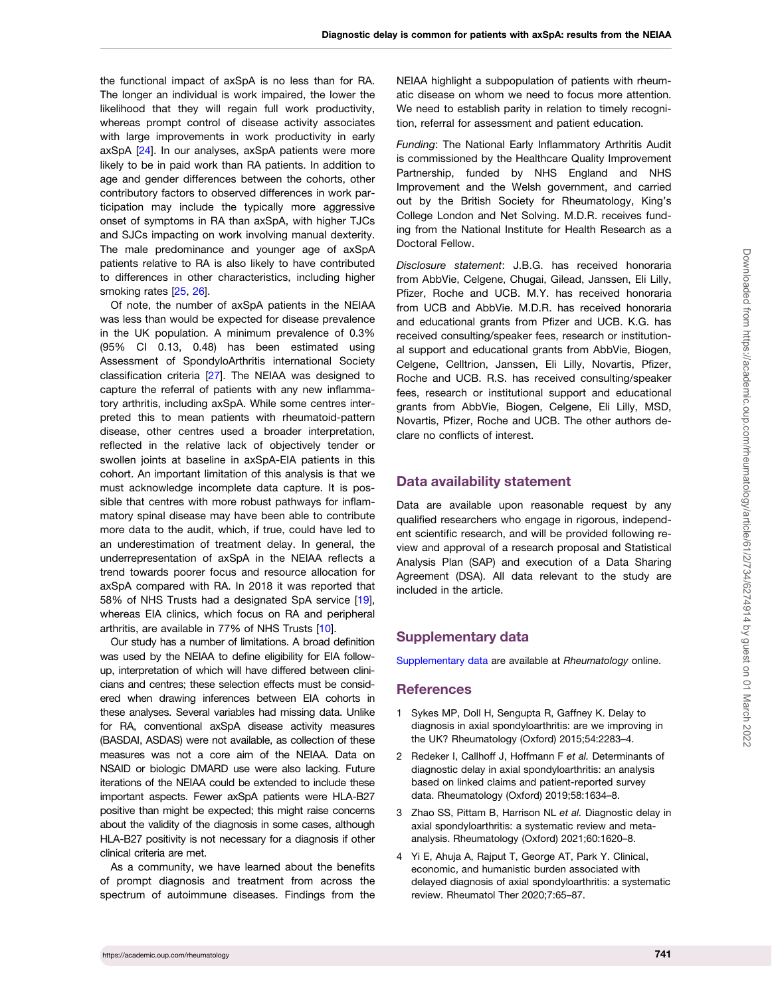<span id="page-7-0"></span>the functional impact of axSpA is no less than for RA. The longer an individual is work impaired, the lower the likelihood that they will regain full work productivity, whereas prompt control of disease activity associates with large improvements in work productivity in early axSpA [\[24\]](#page-8-0). In our analyses, axSpA patients were more likely to be in paid work than RA patients. In addition to age and gender differences between the cohorts, other contributory factors to observed differences in work participation may include the typically more aggressive onset of symptoms in RA than axSpA, with higher TJCs and SJCs impacting on work involving manual dexterity. The male predominance and younger age of axSpA patients relative to RA is also likely to have contributed to differences in other characteristics, including higher smoking rates [\[25,](#page-8-0) [26](#page-8-0)].

Of note, the number of axSpA patients in the NEIAA was less than would be expected for disease prevalence in the UK population. A minimum prevalence of 0.3% (95% CI 0.13, 0.48) has been estimated using Assessment of SpondyloArthritis international Society classification criteria [\[27\]](#page-8-0). The NEIAA was designed to capture the referral of patients with any new inflammatory arthritis, including axSpA. While some centres interpreted this to mean patients with rheumatoid-pattern disease, other centres used a broader interpretation, reflected in the relative lack of objectively tender or swollen joints at baseline in axSpA-EIA patients in this cohort. An important limitation of this analysis is that we must acknowledge incomplete data capture. It is possible that centres with more robust pathways for inflammatory spinal disease may have been able to contribute more data to the audit, which, if true, could have led to an underestimation of treatment delay. In general, the underrepresentation of axSpA in the NEIAA reflects a trend towards poorer focus and resource allocation for axSpA compared with RA. In 2018 it was reported that 58% of NHS Trusts had a designated SpA service [[19](#page-8-0)], whereas EIA clinics, which focus on RA and peripheral arthritis, are available in 77% of NHS Trusts [\[10\]](#page-8-0).

Our study has a number of limitations. A broad definition was used by the NEIAA to define eligibility for EIA followup, interpretation of which will have differed between clinicians and centres; these selection effects must be considered when drawing inferences between EIA cohorts in these analyses. Several variables had missing data. Unlike for RA, conventional axSpA disease activity measures (BASDAI, ASDAS) were not available, as collection of these measures was not a core aim of the NEIAA. Data on NSAID or biologic DMARD use were also lacking. Future iterations of the NEIAA could be extended to include these important aspects. Fewer axSpA patients were HLA-B27 positive than might be expected; this might raise concerns about the validity of the diagnosis in some cases, although HLA-B27 positivity is not necessary for a diagnosis if other clinical criteria are met.

As a community, we have learned about the benefits of prompt diagnosis and treatment from across the spectrum of autoimmune diseases. Findings from the

NEIAA highlight a subpopulation of patients with rheumatic disease on whom we need to focus more attention. We need to establish parity in relation to timely recognition, referral for assessment and patient education.

Funding: The National Early Inflammatory Arthritis Audit is commissioned by the Healthcare Quality Improvement Partnership, funded by NHS England and NHS Improvement and the Welsh government, and carried out by the British Society for Rheumatology, King's College London and Net Solving. M.D.R. receives funding from the National Institute for Health Research as a Doctoral Fellow.

Disclosure statement: J.B.G. has received honoraria from AbbVie, Celgene, Chugai, Gilead, Janssen, Eli Lilly, Pfizer, Roche and UCB. M.Y. has received honoraria from UCB and AbbVie. M.D.R. has received honoraria and educational grants from Pfizer and UCB. K.G. has received consulting/speaker fees, research or institutional support and educational grants from AbbVie, Biogen, Celgene, Celltrion, Janssen, Eli Lilly, Novartis, Pfizer, Roche and UCB. R.S. has received consulting/speaker fees, research or institutional support and educational grants from AbbVie, Biogen, Celgene, Eli Lilly, MSD, Novartis, Pfizer, Roche and UCB. The other authors declare no conflicts of interest.

## Data availability statement

Data are available upon reasonable request by any qualified researchers who engage in rigorous, independent scientific research, and will be provided following review and approval of a research proposal and Statistical Analysis Plan (SAP) and execution of a Data Sharing Agreement (DSA). All data relevant to the study are included in the article.

## Supplementary data

[Supplementary data](https://academic.oup.com/rheumatology/article-lookup/doi/10.1093/rheumatology/keab428#supplementary-data) are available at Rheumatology online.

#### References

- [1](#page-0-0) Sykes MP, Doll H, Sengupta R, Gaffney K. Delay to diagnosis in axial spondyloarthritis: are we improving in the UK? Rheumatology (Oxford) 2015;54:2283–4.
- [2](#page-0-0) Redeker I, Callhoff J, Hoffmann F et al. Determinants of diagnostic delay in axial spondyloarthritis: an analysis based on linked claims and patient-reported survey data. Rheumatology (Oxford) 2019;58:1634–8.
- [3](#page-1-0) Zhao SS, Pittam B, Harrison NL et al. Diagnostic delay in axial spondyloarthritis: a systematic review and metaanalysis. Rheumatology (Oxford) 2021;60:1620–8.
- [4](#page-1-0) Yi E, Ahuja A, Rajput T, George AT, Park Y. Clinical, economic, and humanistic burden associated with delayed diagnosis of axial spondyloarthritis: a systematic review. Rheumatol Ther 2020;7:65–87.